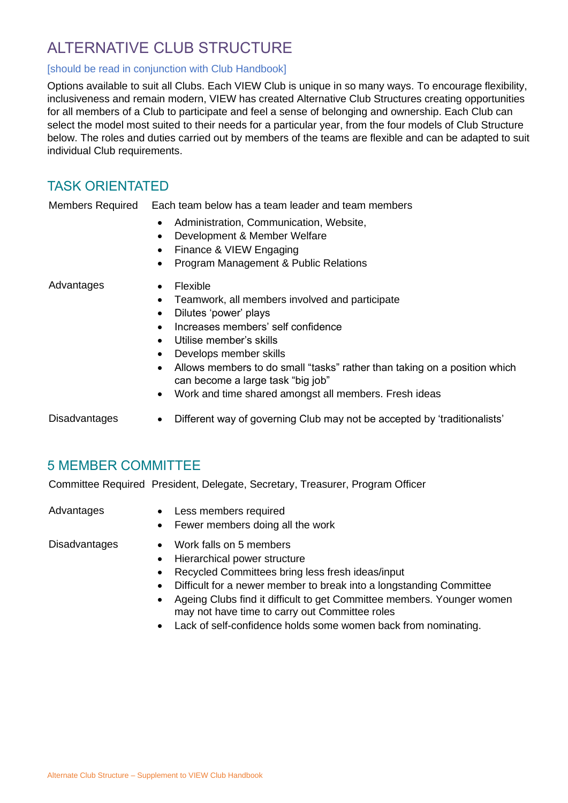# ALTERNATIVE CLUB STRUCTURE

#### [should be read in conjunction with Club Handbook]

Options available to suit all Clubs. Each VIEW Club is unique in so many ways. To encourage flexibility, inclusiveness and remain modern, VIEW has created Alternative Club Structures creating opportunities for all members of a Club to participate and feel a sense of belonging and ownership. Each Club can select the model most suited to their needs for a particular year, from the four models of Club Structure below. The roles and duties carried out by members of the teams are flexible and can be adapted to suit individual Club requirements.

## TASK ORIENTATED

Members Required Each team below has a team leader and team members

- Administration, Communication, Website,
- Development & Member Welfare
- Finance & VIEW Engaging
- Program Management & Public Relations

- Advantages Flexible
	- Teamwork, all members involved and participate
	- Dilutes 'power' plays
	- Increases members' self confidence
	- Utilise member's skills
	- Develops member skills
	- Allows members to do small "tasks" rather than taking on a position which can become a large task "big job"
	- Work and time shared amongst all members. Fresh ideas
- Disadvantages Different way of governing Club may not be accepted by 'traditionalists'

#### 5 MEMBER COMMITTEE

Committee Required President, Delegate, Secretary, Treasurer, Program Officer

- Advantages Less members required
	- Fewer members doing all the work

- Disadvantages Work falls on 5 members
	- Hierarchical power structure
	- Recycled Committees bring less fresh ideas/input
	- Difficult for a newer member to break into a longstanding Committee
	- Ageing Clubs find it difficult to get Committee members. Younger women may not have time to carry out Committee roles
	- Lack of self-confidence holds some women back from nominating.